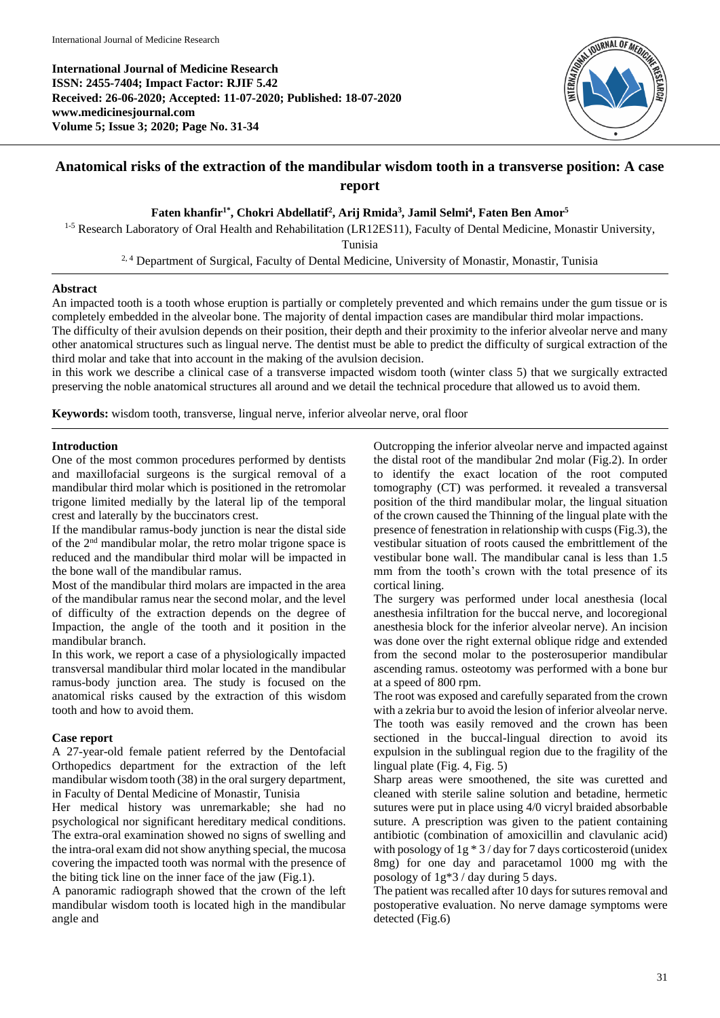

# **Anatomical risks of the extraction of the mandibular wisdom tooth in a transverse position: A case report**

## **Faten khanfir1\* , Chokri Abdellatif<sup>2</sup> , Arij Rmida<sup>3</sup> , Jamil Selmi<sup>4</sup> , Faten Ben Amor<sup>5</sup>**

<sup>1-5</sup> Research Laboratory of Oral Health and Rehabilitation (LR12ES11), Faculty of Dental Medicine, Monastir University,

Tunisia

<sup>2, 4</sup> Department of Surgical, Faculty of Dental Medicine, University of Monastir, Monastir, Tunisia

## **Abstract**

An impacted tooth is a tooth whose eruption is partially or completely prevented and which remains under the gum tissue or is completely embedded in the alveolar bone. The majority of dental impaction cases are mandibular third molar impactions. The difficulty of their avulsion depends on their position, their depth and their proximity to the inferior alveolar nerve and many other anatomical structures such as lingual nerve. The dentist must be able to predict the difficulty of surgical extraction of the third molar and take that into account in the making of the avulsion decision.

in this work we describe a clinical case of a transverse impacted wisdom tooth (winter class 5) that we surgically extracted preserving the noble anatomical structures all around and we detail the technical procedure that allowed us to avoid them.

**Keywords:** wisdom tooth, transverse, lingual nerve, inferior alveolar nerve, oral floor

## **Introduction**

One of the most common procedures performed by dentists and maxillofacial surgeons is the surgical removal of a mandibular third molar which is positioned in the retromolar trigone limited medially by the lateral lip of the temporal crest and laterally by the buccinators crest.

If the mandibular ramus-body junction is near the distal side of the 2nd mandibular molar, the retro molar trigone space is reduced and the mandibular third molar will be impacted in the bone wall of the mandibular ramus.

Most of the mandibular third molars are impacted in the area of the mandibular ramus near the second molar, and the level of difficulty of the extraction depends on the degree of Impaction, the angle of the tooth and it position in the mandibular branch.

In this work, we report a case of a physiologically impacted transversal mandibular third molar located in the mandibular ramus-body junction area. The study is focused on the anatomical risks caused by the extraction of this wisdom tooth and how to avoid them.

### **Case report**

A 27-year-old female patient referred by the Dentofacial Orthopedics department for the extraction of the left mandibular wisdom tooth (38) in the oral surgery department, in Faculty of Dental Medicine of Monastir, Tunisia

Her medical history was unremarkable; she had no psychological nor significant hereditary medical conditions. The extra-oral examination showed no signs of swelling and the intra-oral exam did not show anything special, the mucosa covering the impacted tooth was normal with the presence of the biting tick line on the inner face of the jaw (Fig.1).

A panoramic radiograph showed that the crown of the left mandibular wisdom tooth is located high in the mandibular angle and

Outcropping the inferior alveolar nerve and impacted against the distal root of the mandibular 2nd molar (Fig.2). In order to identify the exact location of the root computed tomography (CT) was performed. it revealed a transversal position of the third mandibular molar, the lingual situation of the crown caused the Thinning of the lingual plate with the presence of fenestration in relationship with cusps (Fig.3), the vestibular situation of roots caused the embrittlement of the vestibular bone wall. The mandibular canal is less than 1.5 mm from the tooth's crown with the total presence of its cortical lining.

The surgery was performed under local anesthesia (local anesthesia infiltration for the buccal nerve, and locoregional anesthesia block for the inferior alveolar nerve). An incision was done over the right external oblique ridge and extended from the second molar to the posterosuperior mandibular ascending ramus. osteotomy was performed with a bone bur at a speed of 800 rpm.

The root was exposed and carefully separated from the crown with a zekria bur to avoid the lesion of inferior alveolar nerve. The tooth was easily removed and the crown has been sectioned in the buccal-lingual direction to avoid its expulsion in the sublingual region due to the fragility of the lingual plate (Fig. 4, Fig. 5)

Sharp areas were smoothened, the site was curetted and cleaned with sterile saline solution and betadine, hermetic sutures were put in place using 4/0 vicryl braided absorbable suture. A prescription was given to the patient containing antibiotic (combination of amoxicillin and clavulanic acid) with posology of 1g \* 3 / day for 7 days corticosteroid (unidex 8mg) for one day and paracetamol 1000 mg with the posology of 1g\*3 / day during 5 days.

The patient was recalled after 10 days for sutures removal and postoperative evaluation. No nerve damage symptoms were detected (Fig.6)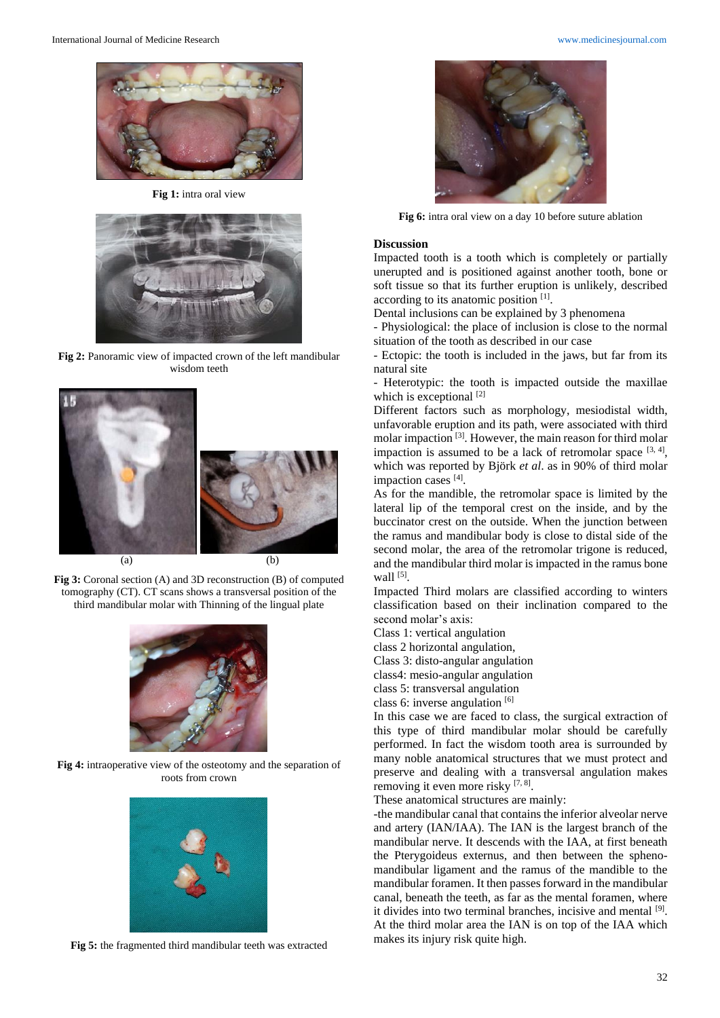

**Fig 1:** intra oral view



**Fig 2:** Panoramic view of impacted crown of the left mandibular wisdom teeth



**Fig 3:** Coronal section (A) and 3D reconstruction (B) of computed tomography (CT). CT scans shows a transversal position of the third mandibular molar with Thinning of the lingual plate



**Fig 4:** intraoperative view of the osteotomy and the separation of roots from crown



**Fig 5:** the fragmented third mandibular teeth was extracted



**Fig 6:** intra oral view on a day 10 before suture ablation

#### **Discussion**

Impacted tooth is a tooth which is completely or partially unerupted and is positioned against another tooth, bone or soft tissue so that its further eruption is unlikely, described according to its anatomic position [1] .

Dental inclusions can be explained by 3 phenomena

- Physiological: the place of inclusion is close to the normal situation of the tooth as described in our case

- Ectopic: the tooth is included in the jaws, but far from its natural site

- Heterotypic: the tooth is impacted outside the maxillae which is exceptional [2]

Different factors such as morphology, mesiodistal width, unfavorable eruption and its path, were associated with third molar impaction<sup>[3]</sup>. However, the main reason for third molar impaction is assumed to be a lack of retromolar space  $[3, 4]$ , which was reported by Björk *et al*. as in 90% of third molar impaction cases [4].

As for the mandible, the retromolar space is limited by the lateral lip of the temporal crest on the inside, and by the buccinator crest on the outside. When the junction between the ramus and mandibular body is close to distal side of the second molar, the area of the retromolar trigone is reduced, and the mandibular third molar is impacted in the ramus bone wall  $^{[5]}$ .

Impacted Third molars are classified according to winters classification based on their inclination compared to the second molar's axis:

Class 1: vertical angulation

class 2 horizontal angulation,

Class 3: disto-angular angulation

class4: mesio-angular angulation

class 5: transversal angulation

class 6: inverse angulation  $[6]$ 

In this case we are faced to class, the surgical extraction of this type of third mandibular molar should be carefully performed. In fact the wisdom tooth area is surrounded by many noble anatomical structures that we must protect and preserve and dealing with a transversal angulation makes removing it even more risky [7, 8].

These anatomical structures are mainly:

-the mandibular canal that contains the inferior alveolar nerve and artery (IAN/IAA). The IAN is the largest branch of the mandibular nerve. It descends with the IAA, at first beneath the Pterygoideus externus, and then between the sphenomandibular ligament and the ramus of the mandible to the mandibular foramen. It then passes forward in the mandibular canal, beneath the teeth, as far as the mental foramen, where it divides into two terminal branches, incisive and mental [9]. At the third molar area the IAN is on top of the IAA which makes its injury risk quite high.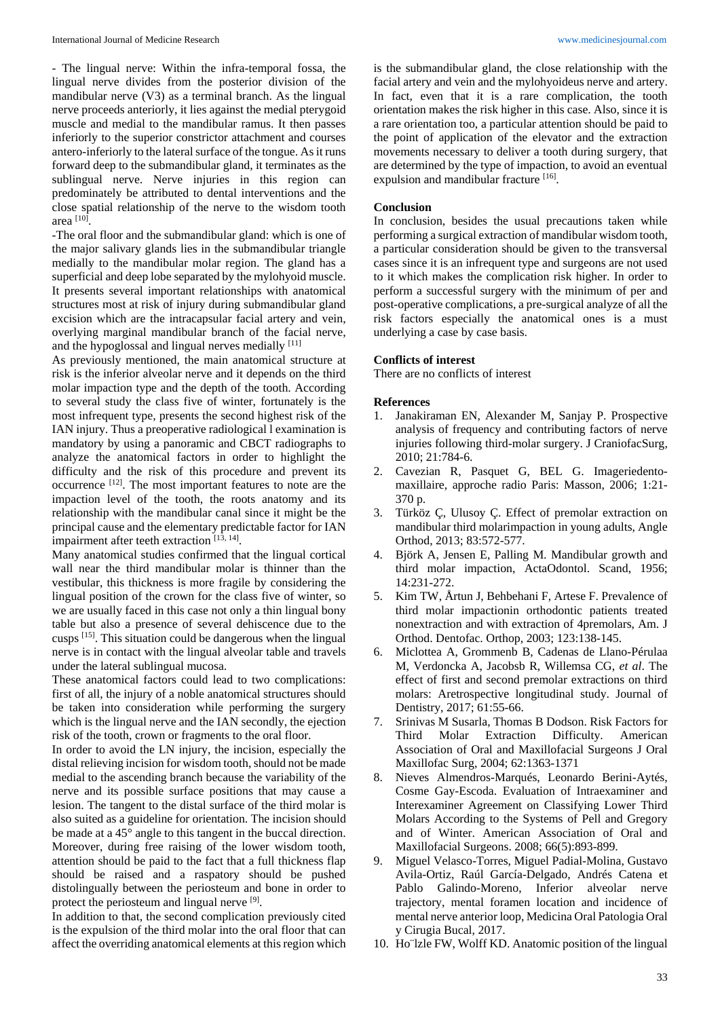- The lingual nerve: Within the infra-temporal fossa, the lingual nerve divides from the posterior division of the mandibular nerve (V3) as a terminal branch. As the lingual nerve proceeds anteriorly, it lies against the medial pterygoid muscle and medial to the mandibular ramus. It then passes inferiorly to the superior constrictor attachment and courses antero-inferiorly to the lateral surface of the tongue. As it runs forward deep to the submandibular gland, it terminates as the sublingual nerve. Nerve injuries in this region can predominately be attributed to dental interventions and the close spatial relationship of the nerve to the wisdom tooth area [10] .

-The oral floor and the submandibular gland: which is one of the major salivary glands lies in the submandibular triangle medially to the mandibular molar region. The gland has a superficial and deep lobe separated by the mylohyoid muscle. It presents several important relationships with anatomical structures most at risk of injury during submandibular gland excision which are the intracapsular facial artery and vein, overlying marginal mandibular branch of the facial nerve, and the hypoglossal and lingual nerves medially [11]

As previously mentioned, the main anatomical structure at risk is the inferior alveolar nerve and it depends on the third molar impaction type and the depth of the tooth. According to several study the class five of winter, fortunately is the most infrequent type, presents the second highest risk of the IAN injury. Thus a preoperative radiological l examination is mandatory by using a panoramic and CBCT radiographs to analyze the anatomical factors in order to highlight the difficulty and the risk of this procedure and prevent its occurrence [12] . The most important features to note are the impaction level of the tooth, the roots anatomy and its relationship with the mandibular canal since it might be the principal cause and the elementary predictable factor for IAN impairment after teeth extraction [13, 14].

Many anatomical studies confirmed that the lingual cortical wall near the third mandibular molar is thinner than the vestibular, this thickness is more fragile by considering the lingual position of the crown for the class five of winter, so we are usually faced in this case not only a thin lingual bony table but also a presence of several dehiscence due to the cusps  $^{[15]}$ . This situation could be dangerous when the lingual nerve is in contact with the lingual alveolar table and travels under the lateral sublingual mucosa.

These anatomical factors could lead to two complications: first of all, the injury of a noble anatomical structures should be taken into consideration while performing the surgery which is the lingual nerve and the IAN secondly, the ejection risk of the tooth, crown or fragments to the oral floor.

In order to avoid the LN injury, the incision, especially the distal relieving incision for wisdom tooth, should not be made medial to the ascending branch because the variability of the nerve and its possible surface positions that may cause a lesion. The tangent to the distal surface of the third molar is also suited as a guideline for orientation. The incision should be made at a 45° angle to this tangent in the buccal direction. Moreover, during free raising of the lower wisdom tooth, attention should be paid to the fact that a full thickness flap should be raised and a raspatory should be pushed distolingually between the periosteum and bone in order to protect the periosteum and lingual nerve [9].

In addition to that, the second complication previously cited is the expulsion of the third molar into the oral floor that can affect the overriding anatomical elements at this region which is the submandibular gland, the close relationship with the facial artery and vein and the mylohyoideus nerve and artery. In fact, even that it is a rare complication, the tooth orientation makes the risk higher in this case. Also, since it is a rare orientation too, a particular attention should be paid to the point of application of the elevator and the extraction movements necessary to deliver a tooth during surgery, that are determined by the type of impaction, to avoid an eventual expulsion and mandibular fracture [16].

#### **Conclusion**

In conclusion, besides the usual precautions taken while performing a surgical extraction of mandibular wisdom tooth, a particular consideration should be given to the transversal cases since it is an infrequent type and surgeons are not used to it which makes the complication risk higher. In order to perform a successful surgery with the minimum of per and post-operative complications, a pre-surgical analyze of all the risk factors especially the anatomical ones is a must underlying a case by case basis.

### **Conflicts of interest**

There are no conflicts of interest

### **References**

- 1. Janakiraman EN, Alexander M, Sanjay P. Prospective analysis of frequency and contributing factors of nerve injuries following third-molar surgery. J CraniofacSurg, 2010; 21:784-6.
- 2. Cavezian R, Pasquet G, BEL G. Imageriedentomaxillaire, approche radio Paris: Masson, 2006; 1:21- 370 p.
- 3. Türköz Ç, Ulusoy Ç. Effect of premolar extraction on mandibular third molarimpaction in young adults, Angle Orthod, 2013; 83:572-577.
- 4. Björk A, Jensen E, Palling M. Mandibular growth and third molar impaction, ActaOdontol. Scand, 1956; 14:231-272.
- 5. Kim TW, Årtun J, Behbehani F, Artese F. Prevalence of third molar impactionin orthodontic patients treated nonextraction and with extraction of 4premolars, Am. J Orthod. Dentofac. Orthop, 2003; 123:138-145.
- 6. Miclottea A, Grommenb B, Cadenas de Llano-Pérulaa M, Verdoncka A, Jacobsb R, Willemsa CG, *et al*. The effect of first and second premolar extractions on third molars: Aretrospective longitudinal study. Journal of Dentistry, 2017; 61:55-66.
- 7. Srinivas M Susarla, Thomas B Dodson. Risk Factors for Third Molar Extraction Difficulty. American Association of Oral and Maxillofacial Surgeons J Oral Maxillofac Surg, 2004; 62:1363-1371
- 8. Nieves Almendros-Marqués, Leonardo Berini-Aytés, Cosme Gay-Escoda. Evaluation of Intraexaminer and Interexaminer Agreement on Classifying Lower Third Molars According to the Systems of Pell and Gregory and of Winter. American Association of Oral and Maxillofacial Surgeons. 2008; 66(5):893-899.
- Miguel Velasco-Torres, Miguel Padial-Molina, Gustavo Avila-Ortiz, Raúl García-Delgado, Andrés Catena et Pablo Galindo-Moreno, Inferior alveolar nerve trajectory, mental foramen location and incidence of mental nerve anterior loop, Medicina Oral Patologia Oral y Cirugia Bucal, 2017.
- 10. Ho¨lzle FW, Wolff KD. Anatomic position of the lingual